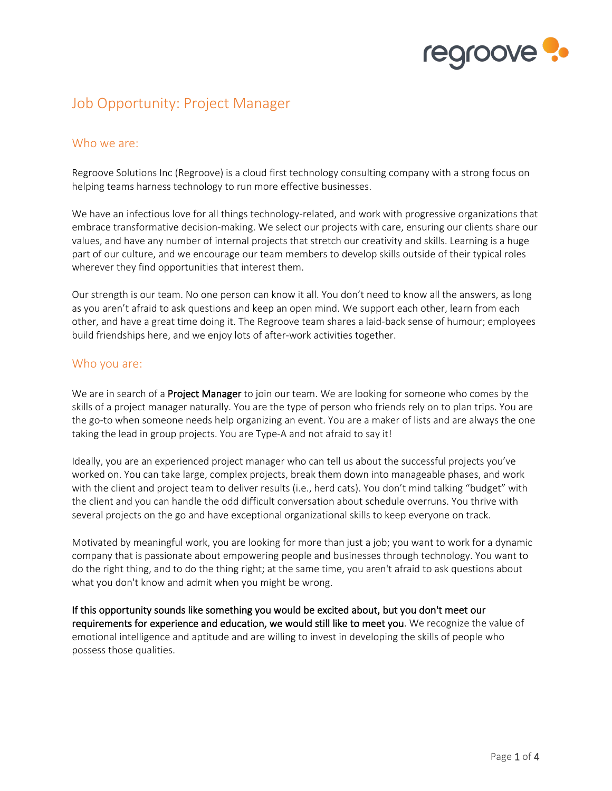

# Job Opportunity: Project Manager

# Who we are:

Regroove Solutions Inc (Regroove) is a cloud first technology consulting company with a strong focus on helping teams harness technology to run more effective businesses.

We have an infectious love for all things technology-related, and work with progressive organizations that embrace transformative decision-making. We select our projects with care, ensuring our clients share our values, and have any number of internal projects that stretch our creativity and skills. Learning is a huge part of our culture, and we encourage our team members to develop skills outside of their typical roles wherever they find opportunities that interest them.

Our strength is our team. No one person can know it all. You don't need to know all the answers, as long as you aren't afraid to ask questions and keep an open mind. We support each other, learn from each other, and have a great time doing it. The Regroove team shares a laid-back sense of humour; employees build friendships here, and we enjoy lots of after-work activities together.

# Who you are:

We are in search of a **Project Manager** to join our team. We are looking for someone who comes by the skills of a project manager naturally. You are the type of person who friends rely on to plan trips. You are the go-to when someone needs help organizing an event. You are a maker of lists and are always the one taking the lead in group projects. You are Type-A and not afraid to say it!

Ideally, you are an experienced project manager who can tell us about the successful projects you've worked on. You can take large, complex projects, break them down into manageable phases, and work with the client and project team to deliver results (i.e., herd cats). You don't mind talking "budget" with the client and you can handle the odd difficult conversation about schedule overruns. You thrive with several projects on the go and have exceptional organizational skills to keep everyone on track.

Motivated by meaningful work, you are looking for more than just a job; you want to work for a dynamic company that is passionate about empowering people and businesses through technology. You want to do the right thing, and to do the thing right; at the same time, you aren't afraid to ask questions about what you don't know and admit when you might be wrong.

If this opportunity sounds like something you would be excited about, but you don't meet our requirements for experience and education, we would still like to meet you. We recognize the value of emotional intelligence and aptitude and are willing to invest in developing the skills of people who possess those qualities.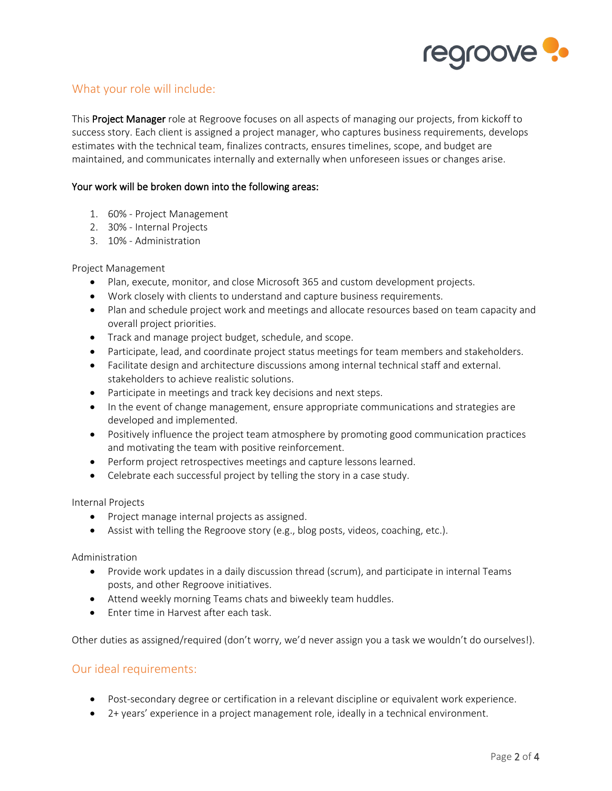

# What your role will include:

This **Project Manager** role at Regroove focuses on all aspects of managing our projects, from kickoff to success story. Each client is assigned a project manager, who captures business requirements, develops estimates with the technical team, finalizes contracts, ensures timelines, scope, and budget are maintained, and communicates internally and externally when unforeseen issues or changes arise.

### Your work will be broken down into the following areas:

- 1. 60% Project Management
- 2. 30% Internal Projects
- 3. 10% Administration

#### Project Management

- Plan, execute, monitor, and close Microsoft 365 and custom development projects.
- Work closely with clients to understand and capture business requirements.
- Plan and schedule project work and meetings and allocate resources based on team capacity and overall project priorities.
- Track and manage project budget, schedule, and scope.
- Participate, lead, and coordinate project status meetings for team members and stakeholders.
- Facilitate design and architecture discussions among internal technical staff and external. stakeholders to achieve realistic solutions.
- Participate in meetings and track key decisions and next steps.
- In the event of change management, ensure appropriate communications and strategies are developed and implemented.
- Positively influence the project team atmosphere by promoting good communication practices and motivating the team with positive reinforcement.
- Perform project retrospectives meetings and capture lessons learned.
- Celebrate each successful project by telling the story in a case study.

#### Internal Projects

- Project manage internal projects as assigned.
- Assist with telling the Regroove story (e.g., blog posts, videos, coaching, etc.).

#### Administration

- Provide work updates in a daily discussion thread (scrum), and participate in internal Teams posts, and other Regroove initiatives.
- Attend weekly morning Teams chats and biweekly team huddles.
- Enter time in Harvest after each task.

Other duties as assigned/required (don't worry, we'd never assign you a task we wouldn't do ourselves!).

# Our ideal requirements:

- Post-secondary degree or certification in a relevant discipline or equivalent work experience.
- 2+ years' experience in a project management role, ideally in a technical environment.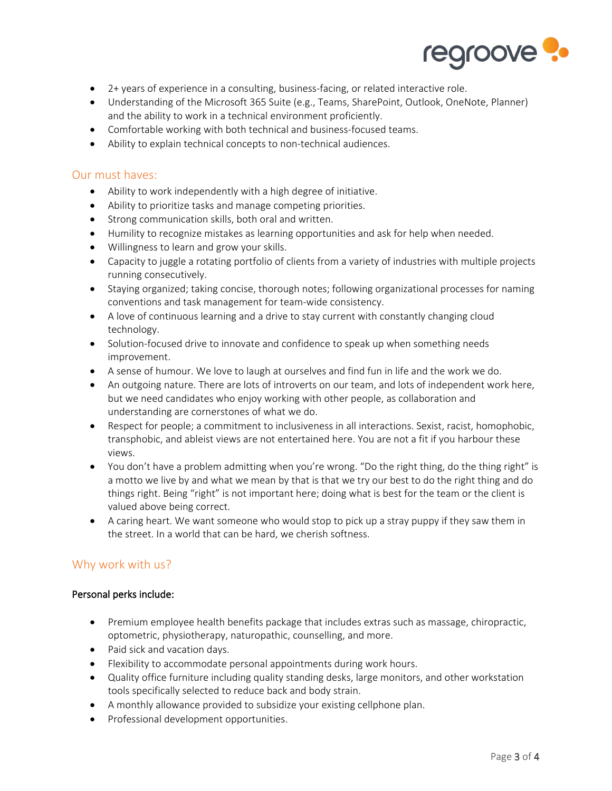

- 2+ years of experience in a consulting, business-facing, or related interactive role.
- Understanding of the Microsoft 365 Suite (e.g., Teams, SharePoint, Outlook, OneNote, Planner) and the ability to work in a technical environment proficiently.
- Comfortable working with both technical and business-focused teams.
- Ability to explain technical concepts to non-technical audiences.

# Our must haves:

- Ability to work independently with a high degree of initiative.
- Ability to prioritize tasks and manage competing priorities.
- Strong communication skills, both oral and written.
- Humility to recognize mistakes as learning opportunities and ask for help when needed.
- Willingness to learn and grow your skills.
- Capacity to juggle a rotating portfolio of clients from a variety of industries with multiple projects running consecutively.
- Staying organized; taking concise, thorough notes; following organizational processes for naming conventions and task management for team-wide consistency.
- A love of continuous learning and a drive to stay current with constantly changing cloud technology.
- Solution-focused drive to innovate and confidence to speak up when something needs improvement.
- A sense of humour. We love to laugh at ourselves and find fun in life and the work we do.
- An outgoing nature. There are lots of introverts on our team, and lots of independent work here, but we need candidates who enjoy working with other people, as collaboration and understanding are cornerstones of what we do.
- Respect for people; a commitment to inclusiveness in all interactions. Sexist, racist, homophobic, transphobic, and ableist views are not entertained here. You are not a fit if you harbour these views.
- You don't have a problem admitting when you're wrong. "Do the right thing, do the thing right" is a motto we live by and what we mean by that is that we try our best to do the right thing and do things right. Being "right" is not important here; doing what is best for the team or the client is valued above being correct.
- A caring heart. We want someone who would stop to pick up a stray puppy if they saw them in the street. In a world that can be hard, we cherish softness.

# Why work with us?

## Personal perks include:

- Premium employee health benefits package that includes extras such as massage, chiropractic, optometric, physiotherapy, naturopathic, counselling, and more.
- Paid sick and vacation days.
- Flexibility to accommodate personal appointments during work hours.
- Quality office furniture including quality standing desks, large monitors, and other workstation tools specifically selected to reduce back and body strain.
- A monthly allowance provided to subsidize your existing cellphone plan.
- Professional development opportunities.